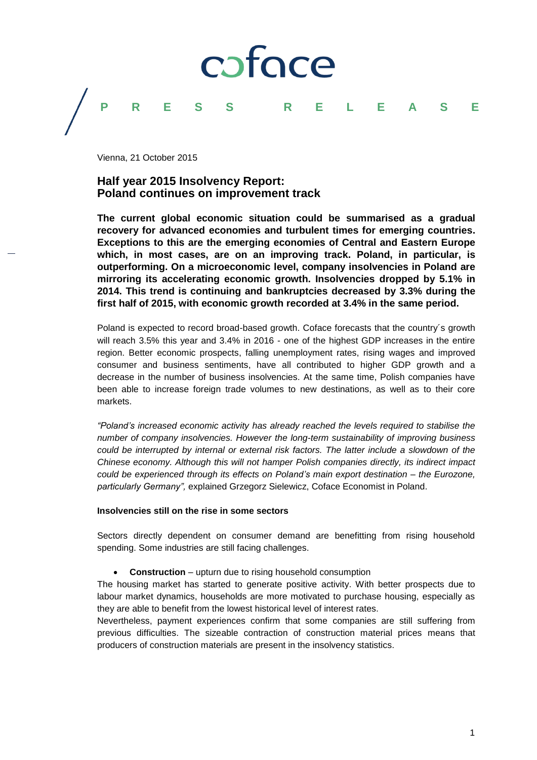## coface

### **PRESS RELEASE**

Vienna, 21 October 2015

### **Half year 2015 Insolvency Report: Poland continues on improvement track**

**The current global economic situation could be summarised as a gradual recovery for advanced economies and turbulent times for emerging countries. Exceptions to this are the emerging economies of Central and Eastern Europe which, in most cases, are on an improving track. Poland, in particular, is outperforming. On a microeconomic level, company insolvencies in Poland are mirroring its accelerating economic growth. Insolvencies dropped by 5.1% in 2014. This trend is continuing and bankruptcies decreased by 3.3% during the first half of 2015, with economic growth recorded at 3.4% in the same period.** 

Poland is expected to record broad-based growth. Coface forecasts that the country´s growth will reach 3.5% this year and 3.4% in 2016 - one of the highest GDP increases in the entire region. Better economic prospects, falling unemployment rates, rising wages and improved consumer and business sentiments, have all contributed to higher GDP growth and a decrease in the number of business insolvencies. At the same time, Polish companies have been able to increase foreign trade volumes to new destinations, as well as to their core markets.

*"Poland's increased economic activity has already reached the levels required to stabilise the number of company insolvencies. However the long-term sustainability of improving business could be interrupted by internal or external risk factors. The latter include a slowdown of the Chinese economy. Although this will not hamper Polish companies directly, its indirect impact could be experienced through its effects on Poland's main export destination – the Eurozone, particularly Germany",* explained Grzegorz Sielewicz, Coface Economist in Poland.

#### **Insolvencies still on the rise in some sectors**

Sectors directly dependent on consumer demand are benefitting from rising household spending. Some industries are still facing challenges.

**Construction** – upturn due to rising household consumption

The housing market has started to generate positive activity. With better prospects due to labour market dynamics, households are more motivated to purchase housing, especially as they are able to benefit from the lowest historical level of interest rates.

Nevertheless, payment experiences confirm that some companies are still suffering from previous difficulties. The sizeable contraction of construction material prices means that producers of construction materials are present in the insolvency statistics.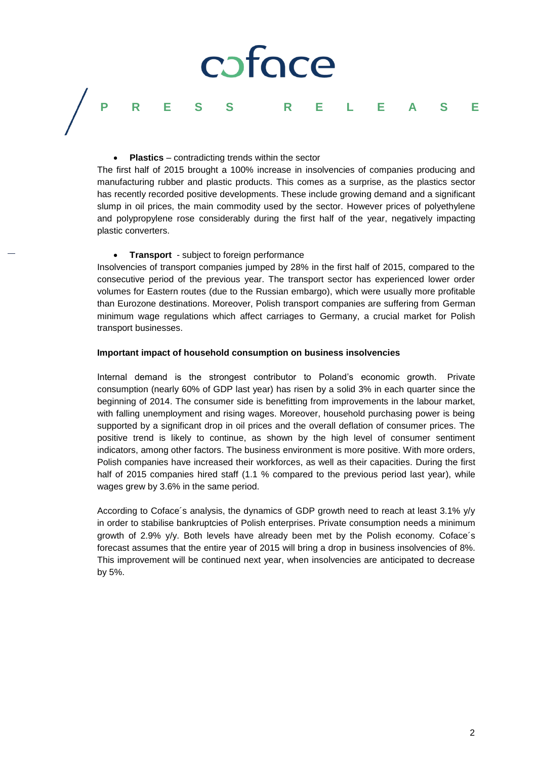# coface

### **PRESS RELEASE**

#### **Plastics** – contradicting trends within the sector

The first half of 2015 brought a 100% increase in insolvencies of companies producing and manufacturing rubber and plastic products. This comes as a surprise, as the plastics sector has recently recorded positive developments. These include growing demand and a significant slump in oil prices, the main commodity used by the sector. However prices of polyethylene and polypropylene rose considerably during the first half of the year, negatively impacting plastic converters.

#### **•** Transport - subject to foreign performance

Insolvencies of transport companies jumped by 28% in the first half of 2015, compared to the consecutive period of the previous year. The transport sector has experienced lower order volumes for Eastern routes (due to the Russian embargo), which were usually more profitable than Eurozone destinations. Moreover, Polish transport companies are suffering from German minimum wage regulations which affect carriages to Germany, a crucial market for Polish transport businesses.

#### **Important impact of household consumption on business insolvencies**

Internal demand is the strongest contributor to Poland's economic growth. Private consumption (nearly 60% of GDP last year) has risen by a solid 3% in each quarter since the beginning of 2014. The consumer side is benefitting from improvements in the labour market, with falling unemployment and rising wages. Moreover, household purchasing power is being supported by a significant drop in oil prices and the overall deflation of consumer prices. The positive trend is likely to continue, as shown by the high level of consumer sentiment indicators, among other factors. The business environment is more positive. With more orders, Polish companies have increased their workforces, as well as their capacities. During the first half of 2015 companies hired staff (1.1 % compared to the previous period last year), while wages grew by 3.6% in the same period.

According to Coface´s analysis, the dynamics of GDP growth need to reach at least 3.1% y/y in order to stabilise bankruptcies of Polish enterprises. Private consumption needs a minimum growth of 2.9% y/y. Both levels have already been met by the Polish economy. Coface´s forecast assumes that the entire year of 2015 will bring a drop in business insolvencies of 8%. This improvement will be continued next year, when insolvencies are anticipated to decrease by 5%.